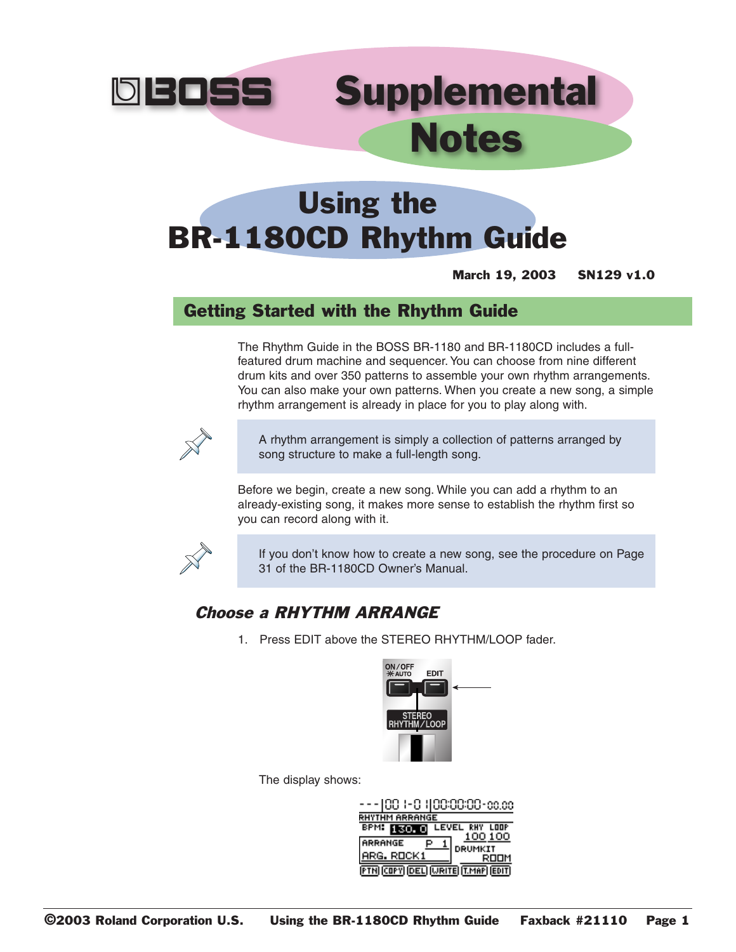

# **Supplemental** Notes

## Using the BR-1180CD Rhythm Guide

March 19, 2003 SN129 v1.0

## Getting Started with the Rhythm Guide

The Rhythm Guide in the BOSS BR-1180 and BR-1180CD includes a fullfeatured drum machine and sequencer. You can choose from nine different drum kits and over 350 patterns to assemble your own rhythm arrangements. You can also make your own patterns. When you create a new song, a simple rhythm arrangement is already in place for you to play along with.



A rhythm arrangement is simply a collection of patterns arranged by song structure to make a full-length song.

Before we begin, create a new song. While you can add a rhythm to an already-existing song, it makes more sense to establish the rhythm first so you can record along with it.



If you don't know how to create a new song, see the procedure on Page 31 of the BR-1180CD Owner's Manual.

#### Choose a RHYTHM ARRANGE

1. Press EDIT above the STEREO RHYTHM/LOOP fader.



The display shows:

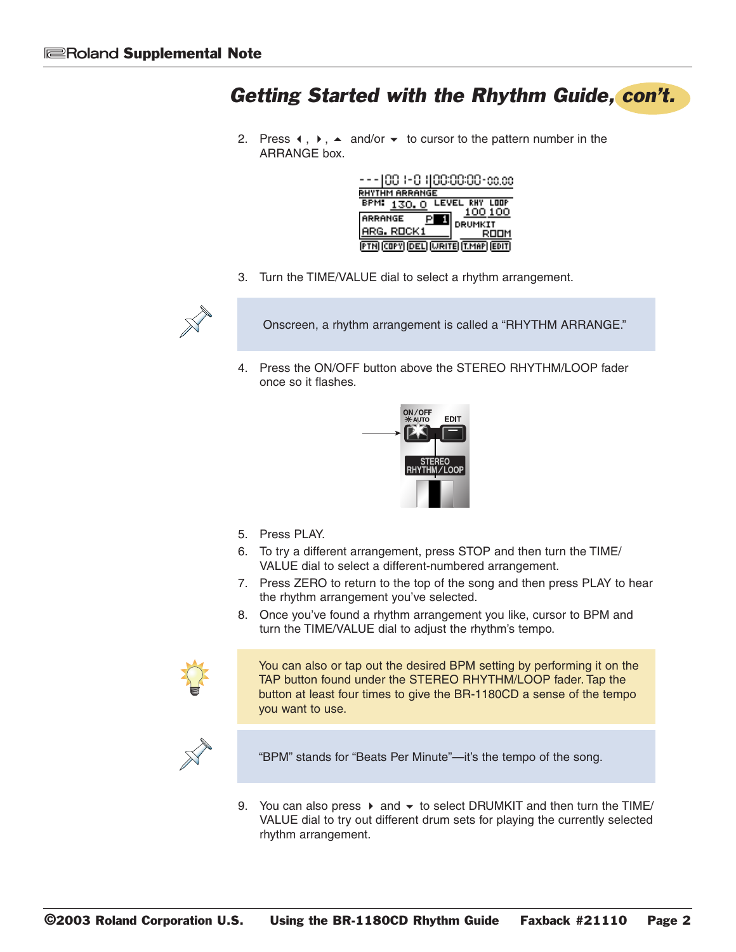2. Press  $\leftrightarrow$ ,  $\leftrightarrow$  and/or  $\rightarrow$  to cursor to the pattern number in the ARRANGE box.



3. Turn the TIME/VALUE dial to select a rhythm arrangement.



Onscreen, a rhythm arrangement is called a "RHYTHM ARRANGE."

4. Press the ON/OFF button above the STEREO RHYTHM/LOOP fader once so it flashes.



- 5. Press PLAY.
- 6. To try a different arrangement, press STOP and then turn the TIME/ VALUE dial to select a different-numbered arrangement.
- 7. Press ZERO to return to the top of the song and then press PLAY to hear the rhythm arrangement you've selected.
- 8. Once you've found a rhythm arrangement you like, cursor to BPM and turn the TIME/VALUE dial to adjust the rhythm's tempo.



You can also or tap out the desired BPM setting by performing it on the TAP button found under the STEREO RHYTHM/LOOP fader. Tap the button at least four times to give the BR-1180CD a sense of the tempo you want to use.



"BPM" stands for "Beats Per Minute"—it's the tempo of the song.

9. You can also press  $\triangleright$  and  $\triangleright$  to select DRUMKIT and then turn the TIME/ VALUE dial to try out different drum sets for playing the currently selected rhythm arrangement.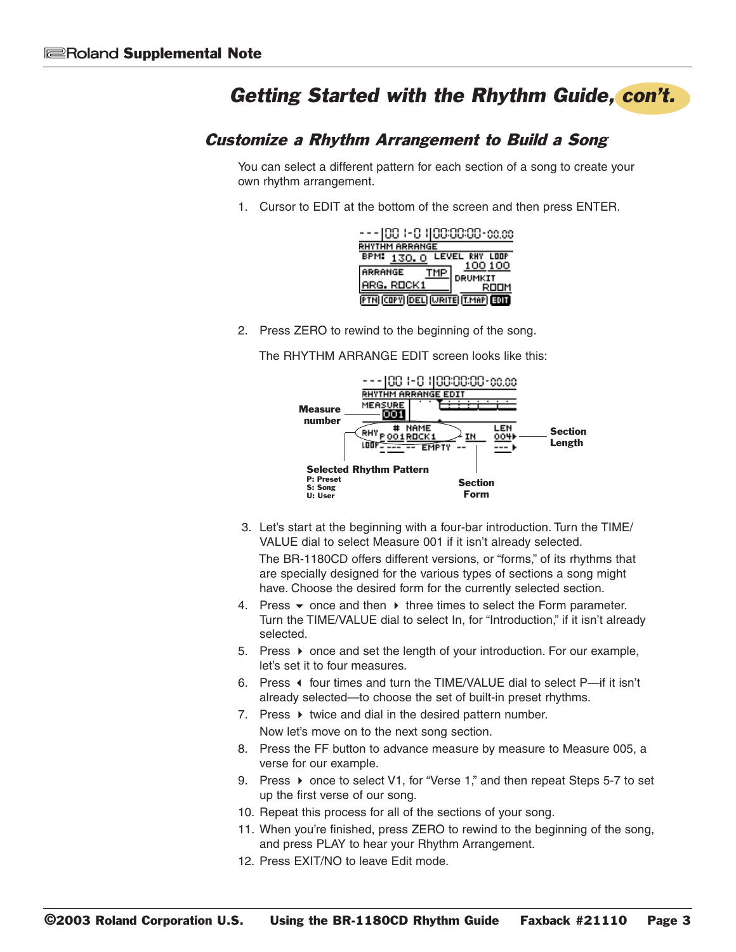#### **Customize a Rhythm Arrangement to Build a Song**

You can select a different pattern for each section of a song to create your own rhythm arrangement.

1. Cursor to EDIT at the bottom of the screen and then press ENTER.

| ---100 (-0 1100:00:00-00.00         |                 |
|-------------------------------------|-----------------|
| RHYTHM ARRANGE                      |                 |
| <b>BPM: 130.0 LEVEL RHY LOOP</b>    |                 |
| TMP<br>ARRANGE                      |                 |
| <b>ARG. ROCK1</b>                   | DRUMKIT<br>ROOM |
| <b>PTH COPY DEL WRITE T.MAP EOD</b> |                 |

2. Press ZERO to rewind to the beginning of the song.

The RHYTHM ARRANGE EDIT screen looks like this:



- 3. Let's start at the beginning with a four-bar introduction. Turn the TIME/ VALUE dial to select Measure 001 if it isn't already selected. The BR-1180CD offers different versions, or "forms," of its rhythms that are specially designed for the various types of sections a song might have. Choose the desired form for the currently selected section.
- 4. Press  $\bullet$  once and then  $\bullet$  three times to select the Form parameter. Turn the TIME/VALUE dial to select In, for "Introduction," if it isn't already selected.
- 5. Press ▶ once and set the length of your introduction. For our example, let's set it to four measures.
- 6. Press ♦ four times and turn the TIME/VALUE dial to select P-if it isn't already selected-to choose the set of built-in preset rhythms.
- 7. Press ▶ twice and dial in the desired pattern number. Now let's move on to the next song section.
- 8. Press the FF button to advance measure by measure to Measure 005, a verse for our example.
- 9. Press ▶ once to select V1, for "Verse 1," and then repeat Steps 5-7 to set up the first verse of our song.
- 10. Repeat this process for all of the sections of your song.
- 11. When you're finished, press ZERO to rewind to the beginning of the song, and press PLAY to hear your Rhythm Arrangement.
- 12. Press EXIT/NO to leave Edit mode.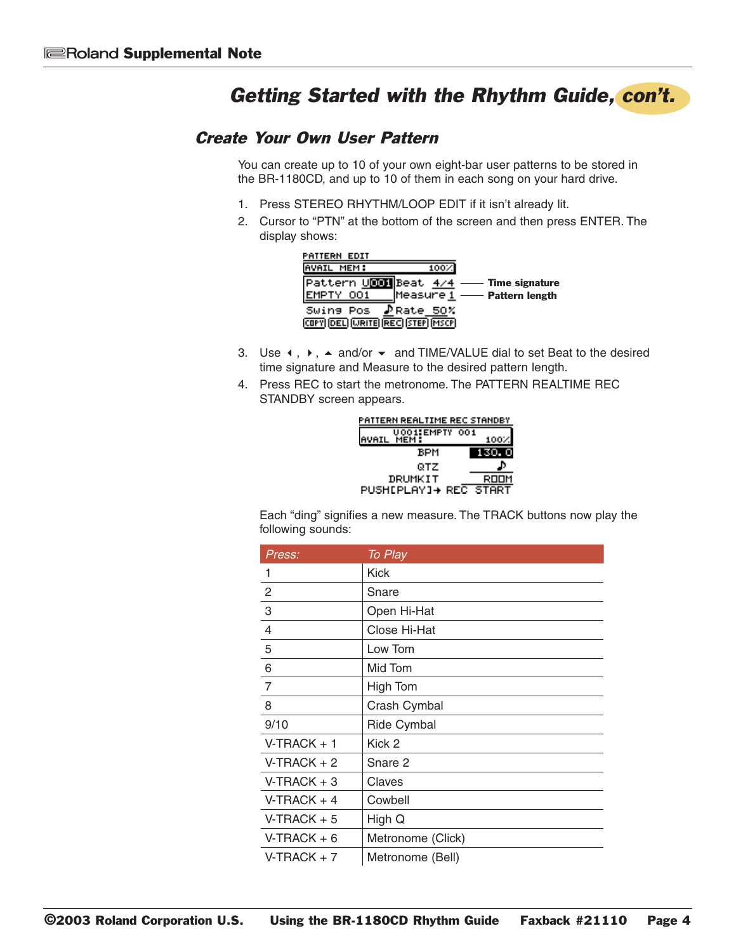#### Create Your Own User Pattern

You can create up to 10 of your own eight-bar user patterns to be stored in the BR-1180CD, and up to 10 of them in each song on your hard drive.

- 1. Press STEREO RHYTHM/LOOP EDIT if it isn't already lit.
- 2. Cursor to "PTN" at the bottom of the screen and then press ENTER. The display shows:



- 3. Use  $\leftrightarrow$ ,  $\leftrightarrow$  and/or  $\leftrightarrow$  and TIME/VALUE dial to set Beat to the desired time signature and Measure to the desired pattern length.
- 4. Press REC to start the metronome. The PATTERN REALTIME REC STANDBY screen appears.

| PATTERN REALTIME REC STANDBY |  |  |
|------------------------------|--|--|
| 001:EMPTY 001<br>MEM :       |  |  |
| BPM                          |  |  |
| QTZ                          |  |  |
| DRUMKIT<br>ROOM              |  |  |
| PUSH[PLAY]→ REC START        |  |  |

Each "ding" signifies a new measure. The TRACK buttons now play the following sounds:

| Press:         | To Play            |
|----------------|--------------------|
| 1              | <b>Kick</b>        |
| 2              | Snare              |
| 3              | Open Hi-Hat        |
| 4              | Close Hi-Hat       |
| 5              | Low Tom            |
| 6              | Mid Tom            |
| $\overline{7}$ | High Tom           |
| 8              | Crash Cymbal       |
| 9/10           | <b>Ride Cymbal</b> |
| $V-TRACK + 1$  | Kick 2             |
| $V-TRACK + 2$  | Snare 2            |
| $V-TRACK + 3$  | Claves             |
| $V-TRACK + 4$  | Cowbell            |
| $V-TRACK + 5$  | High Q             |
| $V-TRACK + 6$  | Metronome (Click)  |
| $V-TRACK + 7$  | Metronome (Bell)   |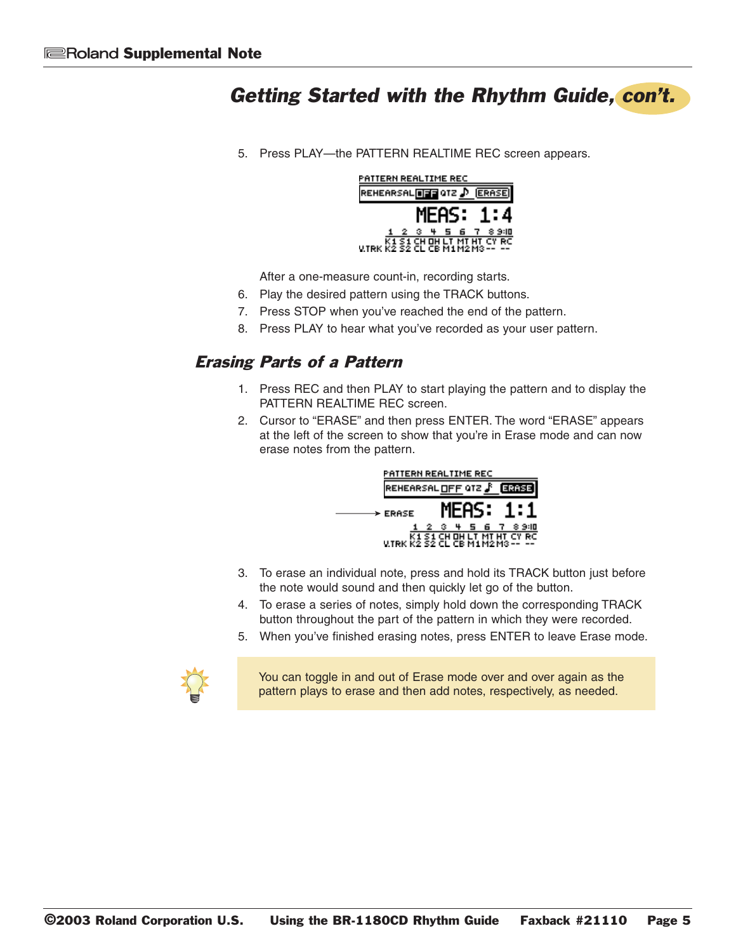5. Press PLAY—the PATTERN REALTIME REC screen appears.



After a one-measure count-in, recording starts.

- 6. Play the desired pattern using the TRACK buttons.
- 7. Press STOP when you've reached the end of the pattern.
- 8. Press PLAY to hear what you've recorded as your user pattern.

#### Erasing Parts of a Pattern

- 1. Press REC and then PLAY to start playing the pattern and to display the PATTERN REALTIME REC screen.
- 2. Cursor to "ERASE" and then press ENTER. The word "ERASE" appears at the left of the screen to show that you're in Erase mode and can now erase notes from the pattern.



- 3. To erase an individual note, press and hold its TRACK button just before the note would sound and then quickly let go of the button.
- 4. To erase a series of notes, simply hold down the corresponding TRACK button throughout the part of the pattern in which they were recorded.
- 5. When you've finished erasing notes, press ENTER to leave Erase mode.



You can toggle in and out of Erase mode over and over again as the pattern plays to erase and then add notes, respectively, as needed.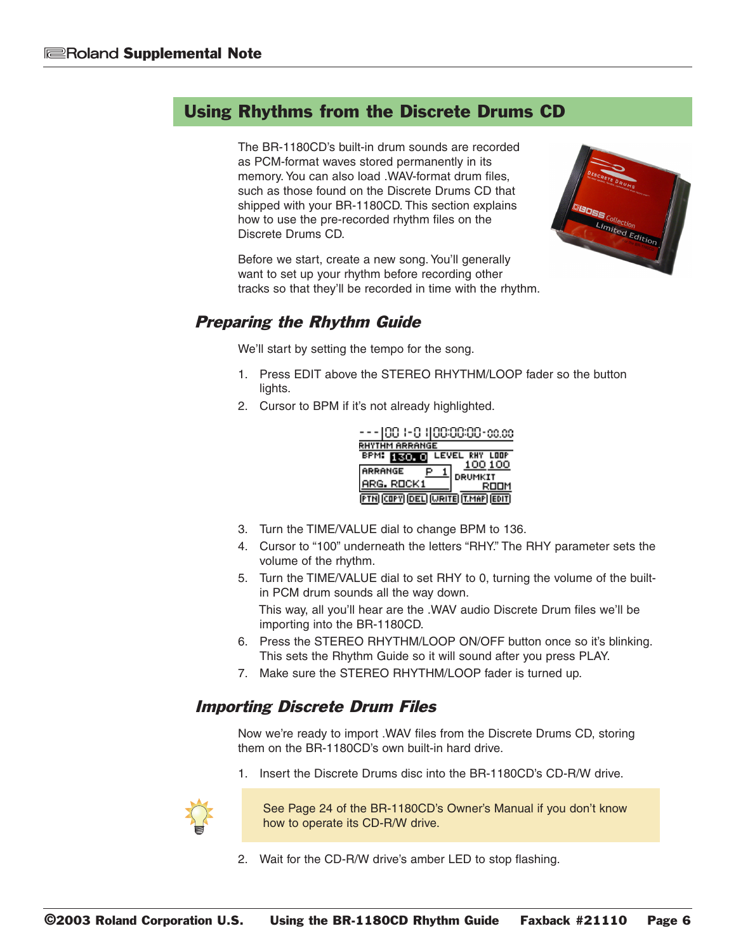The BR-1180CD's built-in drum sounds are recorded as PCM-format waves stored permanently in its memory. You can also load .WAV-format drum files, such as those found on the Discrete Drums CD that shipped with your BR-1180CD. This section explains how to use the pre-recorded rhythm files on the Discrete Drums CD.

Before we start, create a new song. You'll generally want to set up your rhythm before recording other tracks so that they'll be recorded in time with the rhythm.



#### Preparing the Rhythm Guide

We'll start by setting the tempo for the song.

- 1. Press EDIT above the STEREO RHYTHM/LOOP fader so the button lights.
- 2. Cursor to BPM if it's not already highlighted.



- 3. Turn the TIME/VALUE dial to change BPM to 136.
- 4. Cursor to "100" underneath the letters "RHY." The RHY parameter sets the volume of the rhythm.
- 5. Turn the TIME/VALUE dial to set RHY to 0, turning the volume of the builtin PCM drum sounds all the way down.

This way, all you'll hear are the .WAV audio Discrete Drum files we'll be importing into the BR-1180CD.

- 6. Press the STEREO RHYTHM/LOOP ON/OFF button once so it's blinking. This sets the Rhythm Guide so it will sound after you press PLAY.
- 7. Make sure the STEREO RHYTHM/LOOP fader is turned up.

#### Importing Discrete Drum Files

Now we're ready to import .WAV files from the Discrete Drums CD, storing them on the BR-1180CD's own built-in hard drive.

1. Insert the Discrete Drums disc into the BR-1180CD's CD-R/W drive.



See Page 24 of the BR-1180CD's Owner's Manual if you don't know how to operate its CD-R/W drive.

2. Wait for the CD-R/W drive's amber LED to stop flashing.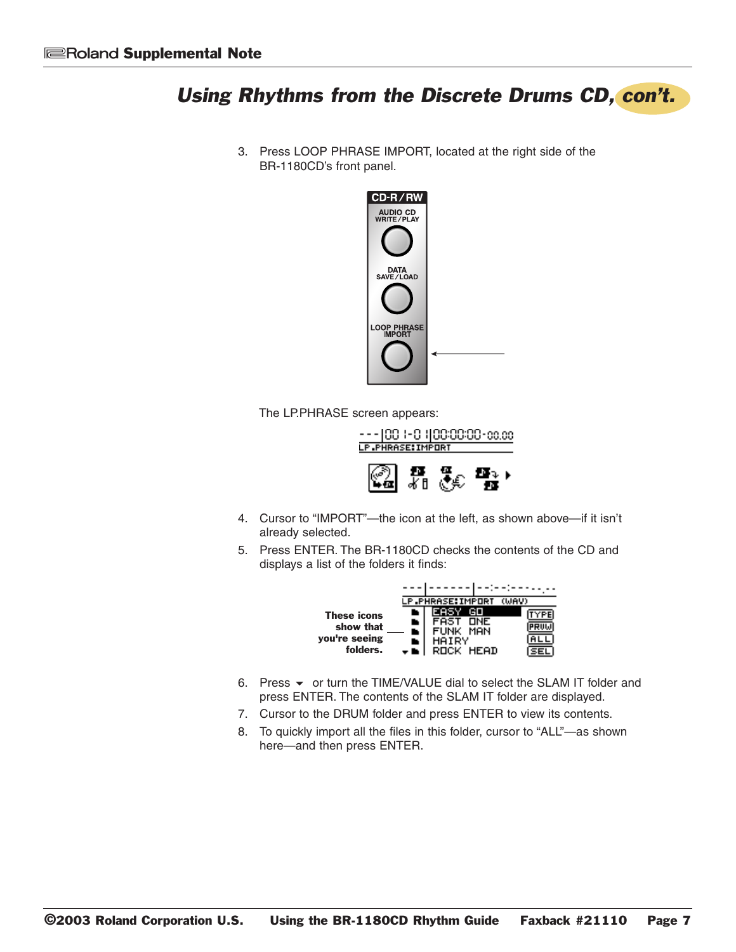3. Press LOOP PHRASE IMPORT, located at the right side of the BR-1180CD's front panel.



The LP.PHRASE screen appears:



- 4. Cursor to "IMPORT"-the icon at the left, as shown above-if it isn't already selected.
- 5. Press ENTER. The BR-1180CD checks the contents of the CD and displays a list of the folders it finds:



- 6. Press ▼ or turn the TIME/VALUE dial to select the SLAM IT folder and press ENTER. The contents of the SLAM IT folder are displayed.
- 7. Cursor to the DRUM folder and press ENTER to view its contents.
- 8. To quickly import all the files in this folder, cursor to "ALL"-as shown here-and then press ENTER.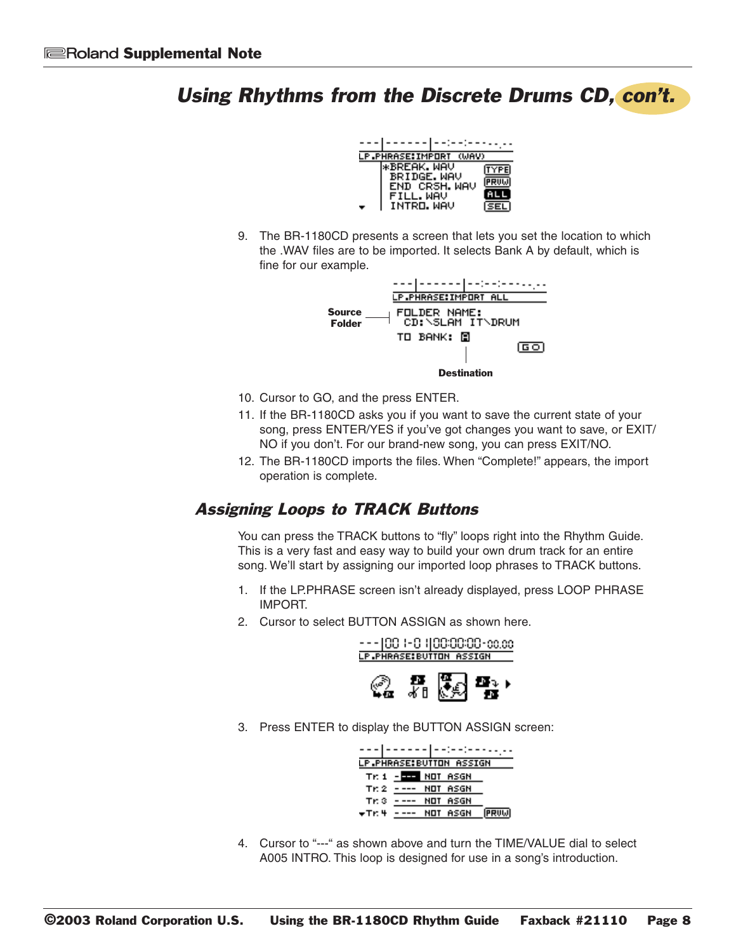

9. The BR-1180CD presents a screen that lets you set the location to which the .WAV files are to be imported. It selects Bank A by default, which is fine for our example.



- 10. Cursor to GO, and the press ENTER.
- 11. If the BR-1180CD asks you if you want to save the current state of your song, press ENTER/YES if you've got changes you want to save, or EXIT/ NO if you don't. For our brand-new song, you can press EXIT/NO.
- 12. The BR-1180CD imports the files. When "Complete!" appears, the import operation is complete.

#### Assigning Loops to TRACK Buttons

You can press the TRACK buttons to "fly" loops right into the Rhythm Guide. This is a very fast and easy way to build your own drum track for an entire song. We'll start by assigning our imported loop phrases to TRACK buttons.

- 1. If the LP.PHRASE screen isn't already displayed, press LOOP PHRASE IMPORT.
- 2. Cursor to select BUTTON ASSIGN as shown here.



3. Press ENTER to display the BUTTON ASSIGN screen:



4. Cursor to "---" as shown above and turn the TIME/VALUE dial to select A005 INTRO. This loop is designed for use in a song's introduction.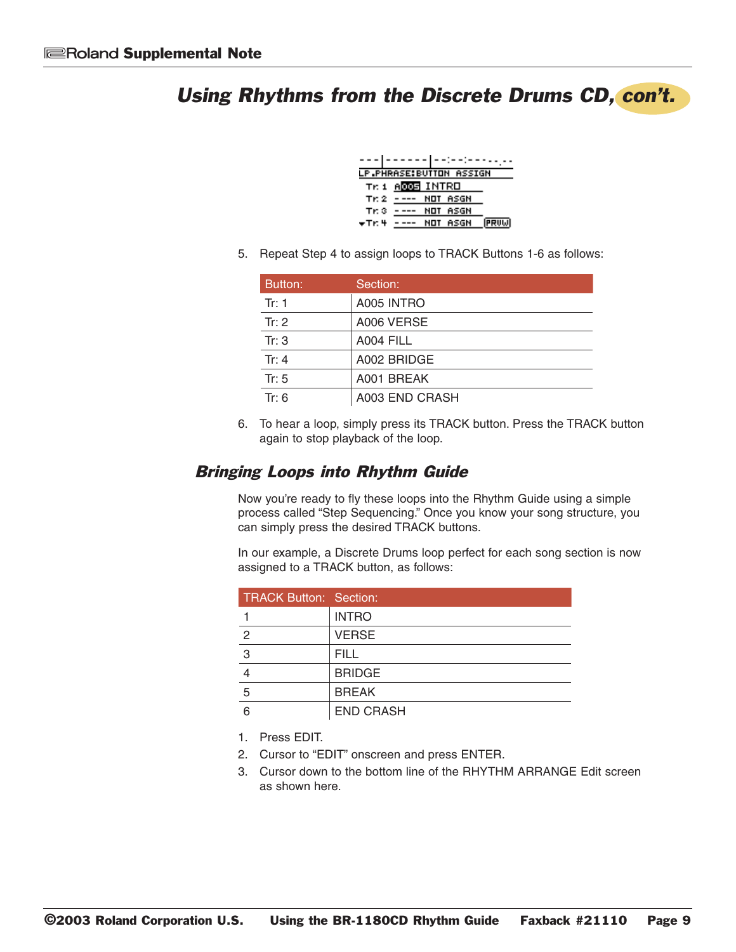|            | ------ --:--:-----       |
|------------|--------------------------|
|            | LP.PHRASE:BUTTON ASSIGN  |
|            | Tr. 1 A <b>DDE</b> INTRO |
| Tr: 2      | ---- NOT ASGN            |
| $Tr 3 - -$ | NOT ASGN                 |
| ₩Tr: 4     | NOT ASGN                 |

5. Repeat Step 4 to assign loops to TRACK Buttons 1-6 as follows:

| Button: | Section:       |
|---------|----------------|
| Tr: 1   | A005 INTRO     |
| Tr: $2$ | A006 VERSE     |
| Tr: $3$ | A004 FILL      |
| Tr: $4$ | A002 BRIDGE    |
| Tr: $5$ | A001 BREAK     |
| Tr: 6   | A003 END CRASH |

6. To hear a loop, simply press its TRACK button. Press the TRACK button again to stop playback of the loop.

#### Bringing Loops into Rhythm Guide

Now you're ready to fly these loops into the Rhythm Guide using a simple process called "Step Sequencing." Once you know your song structure, you can simply press the desired TRACK buttons.

In our example, a Discrete Drums loop perfect for each song section is now assigned to a TRACK button, as follows:

| <b>TRACK Button: Section:</b> |                  |
|-------------------------------|------------------|
|                               | <b>INTRO</b>     |
| $\mathfrak{p}$                | <b>VERSE</b>     |
| 3                             | <b>FILL</b>      |
|                               | <b>BRIDGE</b>    |
| 5                             | <b>BREAK</b>     |
| հ                             | <b>END CRASH</b> |

1. Press EDIT.

- 2. Cursor to "EDIT" onscreen and press ENTER.
- 3. Cursor down to the bottom line of the RHYTHM ARRANGE Edit screen as shown here.